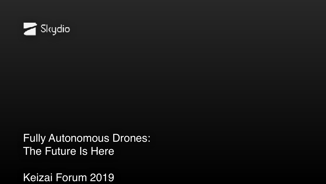

Fully Autonomous Drones: The Future Is Here

Keizai Forum 2019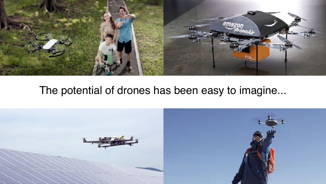

#### The potential of drones has been easy to imagine...

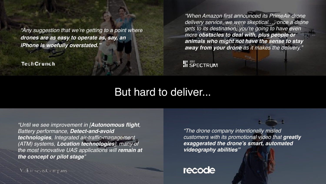*"Any suggestion that we're getting to a point where drones are as easy to operate as, say, an iPhone is woefully overstated."*

**TechCrunch** 

*"When Amazon first announced its PrimeAir drone delivery service, we were skeptical.… once a drone gets to its destination, you're going to have even more obstacles to deal with, plus people or animals who might not have the sense to stay away from your drone as it makes the delivery."*

**II** SPECTRUM

#### But hard to deliver...

*"Until we see improvement in [Autonomous flight, Battery performance, Detect-and-avoid technologies, Integrated air-traffic-management (ATM) systems, Location technologies], many of the most innovative UAS applications will remain at the concept or pilot stage"*

**VickinseverCompany** 

*"The drone company intentionally misled customers with its promotional video that greatly exaggerated the drone's smart, automated videography abilities"*

#### recode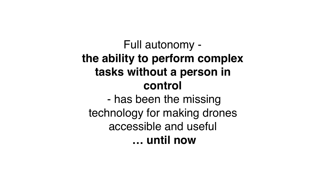## Full autonomy **the ability to perform complex tasks without a person in control**

 - has been the missing technology for making drones accessible and useful **… until now**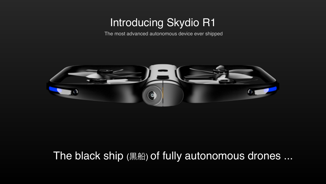## Introducing Skydio R1

The most advanced autonomous device ever shipped



### The black ship (黒船) of fully autonomous drones ...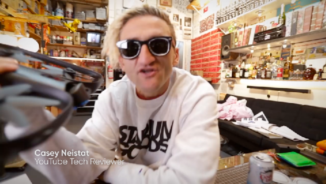**Casey Neistat**<br>YouTube Tech Reviewer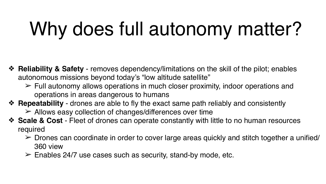# Why does full autonomy matter?

- ❖ **Reliability & Safety** removes dependency/limitations on the skill of the pilot; enables autonomous missions beyond today's "low altitude satellite"
	- $\ge$  Full autonomy allows operations in much closer proximity, indoor operations and operations in areas dangerous to humans
- ❖ **Repeatability** drones are able to fly the exact same path reliably and consistently
	- $\geq$  Allows easy collection of changes/differences over time
- ❖ **Scale & Cost** Fleet of drones can operate constantly with little to no human resources required
	- $\triangleright$  Drones can coordinate in order to cover large areas quickly and stitch together a unified/ 360 view
	- $\ge$  Enables 24/7 use cases such as security, stand-by mode, etc.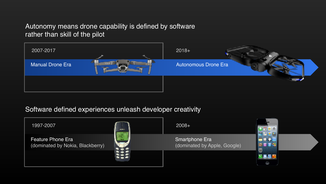#### Autonomy means drone capability is defined by software rather than skill of the pilot



#### Software defined experiences unleash developer creativity